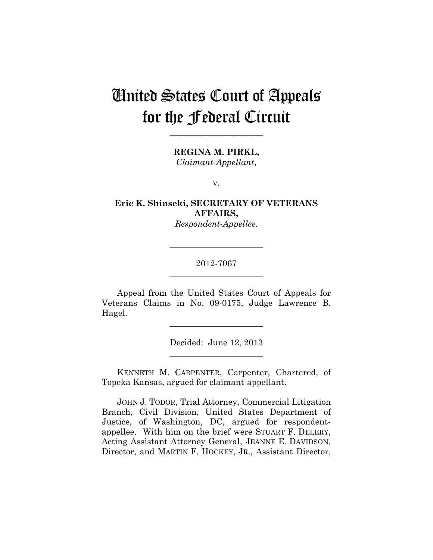# United States Court of Appeals for the Federal Circuit

**\_\_\_\_\_\_\_\_\_\_\_\_\_\_\_\_\_\_\_\_\_\_** 

**REGINA M. PIRKL,** *Claimant-Appellant*,

v.

**Eric K. Shinseki, SECRETARY OF VETERANS AFFAIRS,**

*Respondent-Appellee.*

## 2012-7067 **\_\_\_\_\_\_\_\_\_\_\_\_\_\_\_\_\_\_\_\_\_\_**

**\_\_\_\_\_\_\_\_\_\_\_\_\_\_\_\_\_\_\_\_\_\_** 

Appeal from the United States Court of Appeals for Veterans Claims in No. 09-0175, Judge Lawrence B. Hagel.

 $\overline{\phantom{a}}$  , where  $\overline{\phantom{a}}$  , where  $\overline{\phantom{a}}$  , where  $\overline{\phantom{a}}$ 

Decided: June 12, 2013 **\_\_\_\_\_\_\_\_\_\_\_\_\_\_\_\_\_\_\_\_\_\_** 

KENNETH M. CARPENTER, Carpenter, Chartered, of Topeka Kansas, argued for claimant-appellant.

JOHN J. TODOR, Trial Attorney, Commercial Litigation Branch, Civil Division, United States Department of Justice, of Washington, DC, argued for respondentappellee. With him on the brief were STUART F. DELERY, Acting Assistant Attorney General, JEANNE E. DAVIDSON, Director, and MARTIN F. HOCKEY, JR., Assistant Director.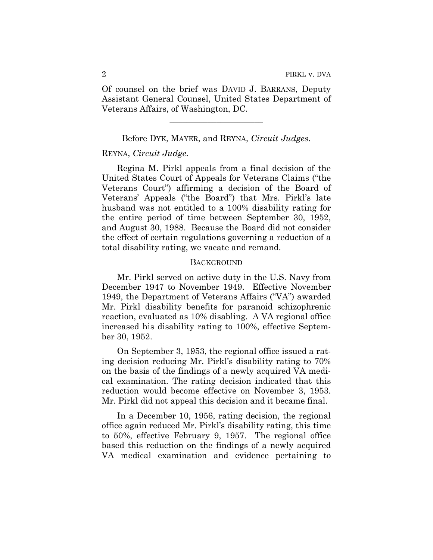Of counsel on the brief was DAVID J. BARRANS, Deputy Assistant General Counsel, United States Department of Veterans Affairs, of Washington, DC.

#### Before DYK, MAYER, and REYNA, *Circuit Judges*.

 $\overline{\phantom{a}}$  , where  $\overline{\phantom{a}}$  , where  $\overline{\phantom{a}}$  , where  $\overline{\phantom{a}}$ 

#### REYNA, *Circuit Judge*.

Regina M. Pirkl appeals from a final decision of the United States Court of Appeals for Veterans Claims ("the Veterans Court") affirming a decision of the Board of Veterans' Appeals ("the Board") that Mrs. Pirkl's late husband was not entitled to a 100% disability rating for the entire period of time between September 30, 1952, and August 30, 1988. Because the Board did not consider the effect of certain regulations governing a reduction of a total disability rating, we vacate and remand.

#### **BACKGROUND**

Mr. Pirkl served on active duty in the U.S. Navy from December 1947 to November 1949. Effective November 1949, the Department of Veterans Affairs ("VA") awarded Mr. Pirkl disability benefits for paranoid schizophrenic reaction, evaluated as 10% disabling. A VA regional office increased his disability rating to 100%, effective September 30, 1952.

On September 3, 1953, the regional office issued a rating decision reducing Mr. Pirkl's disability rating to 70% on the basis of the findings of a newly acquired VA medical examination. The rating decision indicated that this reduction would become effective on November 3, 1953. Mr. Pirkl did not appeal this decision and it became final.

In a December 10, 1956, rating decision, the regional office again reduced Mr. Pirkl's disability rating, this time to 50%, effective February 9, 1957. The regional office based this reduction on the findings of a newly acquired VA medical examination and evidence pertaining to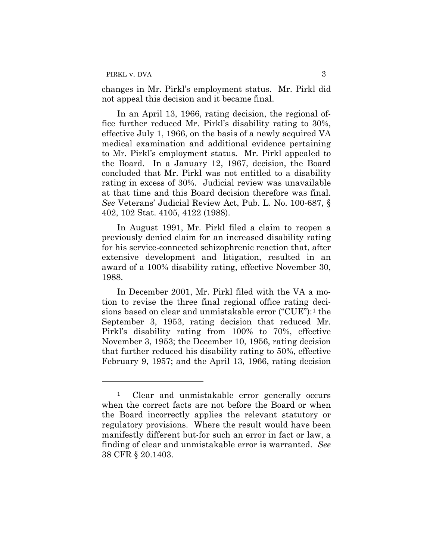$\overline{a}$ 

changes in Mr. Pirkl's employment status. Mr. Pirkl did not appeal this decision and it became final.

In an April 13, 1966, rating decision, the regional office further reduced Mr. Pirkl's disability rating to 30%, effective July 1, 1966, on the basis of a newly acquired VA medical examination and additional evidence pertaining to Mr. Pirkl's employment status. Mr. Pirkl appealed to the Board. In a January 12, 1967, decision, the Board concluded that Mr. Pirkl was not entitled to a disability rating in excess of 30%. Judicial review was unavailable at that time and this Board decision therefore was final. *See* Veterans' Judicial Review Act, Pub. L. No. 100-687, § 402, 102 Stat. 4105, 4122 (1988).

In August 1991, Mr. Pirkl filed a claim to reopen a previously denied claim for an increased disability rating for his service-connected schizophrenic reaction that, after extensive development and litigation, resulted in an award of a 100% disability rating, effective November 30, 1988.

In December 2001, Mr. Pirkl filed with the VA a motion to revise the three final regional office rating decisions based on clear and unmistakable error ("CUE"):1 the September 3, 1953, rating decision that reduced Mr. Pirkl's disability rating from 100% to 70%, effective November 3, 1953; the December 10, 1956, rating decision that further reduced his disability rating to 50%, effective February 9, 1957; and the April 13, 1966, rating decision

<sup>&</sup>lt;sup>1</sup> Clear and unmistakable error generally occurs when the correct facts are not before the Board or when the Board incorrectly applies the relevant statutory or regulatory provisions. Where the result would have been manifestly different but-for such an error in fact or law, a finding of clear and unmistakable error is warranted. *See*  38 CFR § 20.1403.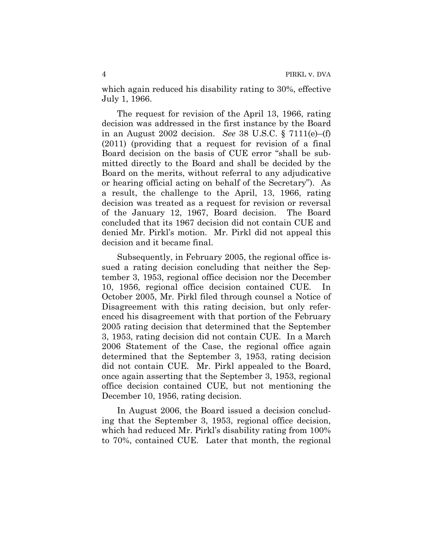which again reduced his disability rating to 30%, effective July 1, 1966.

The request for revision of the April 13, 1966, rating decision was addressed in the first instance by the Board in an August 2002 decision. *See* 38 U.S.C. § 7111(e)–(f) (2011) (providing that a request for revision of a final Board decision on the basis of CUE error "shall be submitted directly to the Board and shall be decided by the Board on the merits, without referral to any adjudicative or hearing official acting on behalf of the Secretary"). As a result, the challenge to the April, 13, 1966, rating decision was treated as a request for revision or reversal of the January 12, 1967, Board decision. The Board concluded that its 1967 decision did not contain CUE and denied Mr. Pirkl's motion. Mr. Pirkl did not appeal this decision and it became final.

Subsequently, in February 2005, the regional office issued a rating decision concluding that neither the September 3, 1953, regional office decision nor the December 10, 1956, regional office decision contained CUE. In October 2005, Mr. Pirkl filed through counsel a Notice of Disagreement with this rating decision, but only referenced his disagreement with that portion of the February 2005 rating decision that determined that the September 3, 1953, rating decision did not contain CUE. In a March 2006 Statement of the Case, the regional office again determined that the September 3, 1953, rating decision did not contain CUE. Mr. Pirkl appealed to the Board, once again asserting that the September 3, 1953, regional office decision contained CUE, but not mentioning the December 10, 1956, rating decision.

In August 2006, the Board issued a decision concluding that the September 3, 1953, regional office decision, which had reduced Mr. Pirkl's disability rating from 100% to 70%, contained CUE. Later that month, the regional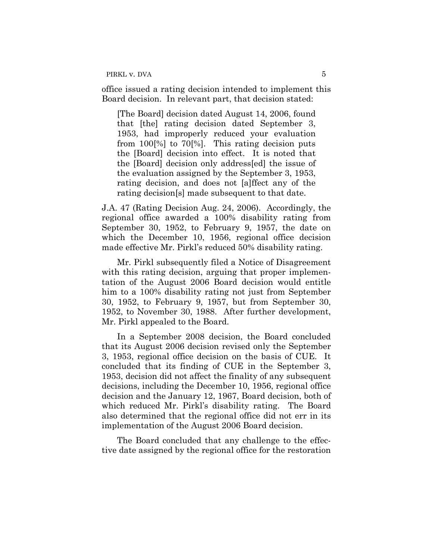PIRKL v. DVA 5

office issued a rating decision intended to implement this Board decision. In relevant part, that decision stated:

[The Board] decision dated August 14, 2006, found that [the] rating decision dated September 3, 1953, had improperly reduced your evaluation from 100[%] to 70[%]. This rating decision puts the [Board] decision into effect. It is noted that the [Board] decision only address[ed] the issue of the evaluation assigned by the September 3, 1953, rating decision, and does not [a]ffect any of the rating decision[s] made subsequent to that date.

J.A. 47 (Rating Decision Aug. 24, 2006). Accordingly, the regional office awarded a 100% disability rating from September 30, 1952, to February 9, 1957, the date on which the December 10, 1956, regional office decision made effective Mr. Pirkl's reduced 50% disability rating.

Mr. Pirkl subsequently filed a Notice of Disagreement with this rating decision, arguing that proper implementation of the August 2006 Board decision would entitle him to a 100% disability rating not just from September 30, 1952, to February 9, 1957, but from September 30, 1952, to November 30, 1988. After further development, Mr. Pirkl appealed to the Board.

In a September 2008 decision, the Board concluded that its August 2006 decision revised only the September 3, 1953, regional office decision on the basis of CUE. It concluded that its finding of CUE in the September 3, 1953, decision did not affect the finality of any subsequent decisions, including the December 10, 1956, regional office decision and the January 12, 1967, Board decision, both of which reduced Mr. Pirkl's disability rating. The Board also determined that the regional office did not err in its implementation of the August 2006 Board decision.

The Board concluded that any challenge to the effective date assigned by the regional office for the restoration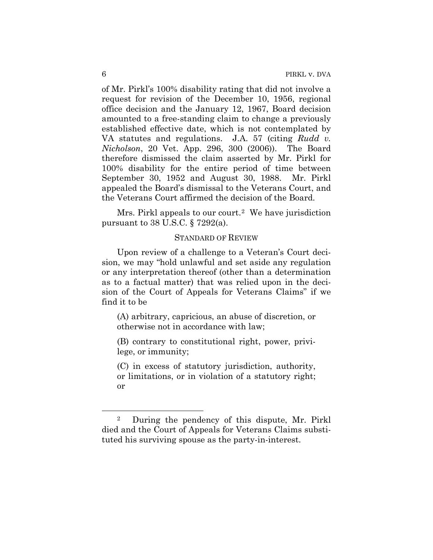of Mr. Pirkl's 100% disability rating that did not involve a request for revision of the December 10, 1956, regional office decision and the January 12, 1967, Board decision amounted to a free-standing claim to change a previously established effective date, which is not contemplated by VA statutes and regulations. J.A. 57 (citing *Rudd v. Nicholson*, 20 Vet. App. 296, 300 (2006)). The Board therefore dismissed the claim asserted by Mr. Pirkl for 100% disability for the entire period of time between September 30, 1952 and August 30, 1988. Mr. Pirkl appealed the Board's dismissal to the Veterans Court, and the Veterans Court affirmed the decision of the Board.

Mrs. Pirkl appeals to our court.<sup>2</sup> We have jurisdiction pursuant to 38 U.S.C. § 7292(a).

## STANDARD OF REVIEW

Upon review of a challenge to a Veteran's Court decision, we may "hold unlawful and set aside any regulation or any interpretation thereof (other than a determination as to a factual matter) that was relied upon in the decision of the Court of Appeals for Veterans Claims" if we find it to be

(A) arbitrary, capricious, an abuse of discretion, or otherwise not in accordance with law;

(B) contrary to constitutional right, power, privilege, or immunity;

(C) in excess of statutory jurisdiction, authority, or limitations, or in violation of a statutory right; or

 $\overline{a}$ 

<sup>2</sup> During the pendency of this dispute, Mr. Pirkl died and the Court of Appeals for Veterans Claims substituted his surviving spouse as the party-in-interest.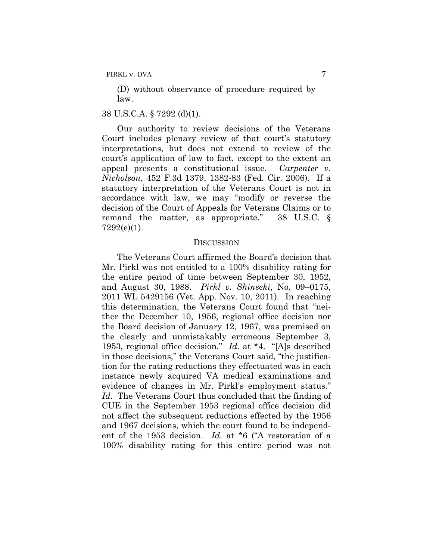(D) without observance of procedure required by law.

## 38 U.S.C.A. § 7292 (d)(1).

Our authority to review decisions of the Veterans Court includes plenary review of that court's statutory interpretations, but does not extend to review of the court's application of law to fact, except to the extent an appeal presents a constitutional issue. *Carpenter v. Nicholson*, 452 F.3d 1379, 1382-83 (Fed. Cir. 2006). If a statutory interpretation of the Veterans Court is not in accordance with law, we may "modify or reverse the decision of the Court of Appeals for Veterans Claims or to remand the matter, as appropriate." 38 U.S.C. § 7292(e)(1).

#### **DISCUSSION**

The Veterans Court affirmed the Board's decision that Mr. Pirkl was not entitled to a 100% disability rating for the entire period of time between September 30, 1952, and August 30, 1988. *Pirkl v. Shinseki*, No. 09–0175, 2011 WL 5429156 (Vet. App. Nov. 10, 2011). In reaching this determination, the Veterans Court found that "neither the December 10, 1956, regional office decision nor the Board decision of January 12, 1967, was premised on the clearly and unmistakably erroneous September 3, 1953, regional office decision." *Id.* at \*4. "[A]s described in those decisions," the Veterans Court said, "the justification for the rating reductions they effectuated was in each instance newly acquired VA medical examinations and evidence of changes in Mr. Pirkl's employment status." *Id.* The Veterans Court thus concluded that the finding of CUE in the September 1953 regional office decision did not affect the subsequent reductions effected by the 1956 and 1967 decisions, which the court found to be independent of the 1953 decision. *Id.* at \*6 ("A restoration of a 100% disability rating for this entire period was not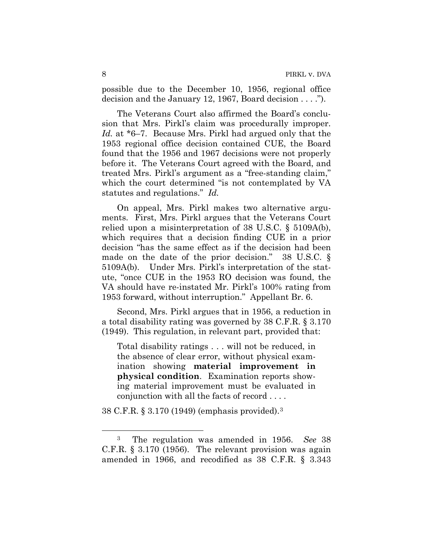possible due to the December 10, 1956, regional office decision and the January 12, 1967, Board decision . . . .").

The Veterans Court also affirmed the Board's conclusion that Mrs. Pirkl's claim was procedurally improper. *Id.* at \*6–7. Because Mrs. Pirkl had argued only that the 1953 regional office decision contained CUE, the Board found that the 1956 and 1967 decisions were not properly before it. The Veterans Court agreed with the Board, and treated Mrs. Pirkl's argument as a "free-standing claim," which the court determined "is not contemplated by VA statutes and regulations." *Id.*

On appeal, Mrs. Pirkl makes two alternative arguments. First, Mrs. Pirkl argues that the Veterans Court relied upon a misinterpretation of 38 U.S.C. § 5109A(b), which requires that a decision finding CUE in a prior decision "has the same effect as if the decision had been made on the date of the prior decision." 38 U.S.C. § 5109A(b). Under Mrs. Pirkl's interpretation of the statute, "once CUE in the 1953 RO decision was found, the VA should have re-instated Mr. Pirkl's 100% rating from 1953 forward, without interruption." Appellant Br. 6.

Second, Mrs. Pirkl argues that in 1956, a reduction in a total disability rating was governed by 38 C.F.R. § 3.170 (1949). This regulation, in relevant part, provided that:

Total disability ratings . . . will not be reduced, in the absence of clear error, without physical examination showing **material improvement in physical condition**. Examination reports showing material improvement must be evaluated in conjunction with all the facts of record . . . .

38 C.F.R. § 3.170 (1949) (emphasis provided).3

 $\overline{a}$ 

<sup>3</sup> The regulation was amended in 1956. *See* 38 C.F.R. § 3.170 (1956). The relevant provision was again amended in 1966, and recodified as 38 C.F.R. § 3.343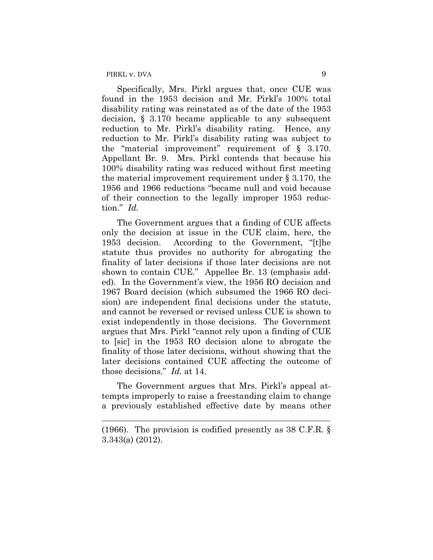$\overline{a}$ 

Specifically, Mrs. Pirkl argues that, once CUE was found in the 1953 decision and Mr. Pirkl's 100% total disability rating was reinstated as of the date of the 1953 decision, § 3.170 became applicable to any subsequent reduction to Mr. Pirkl's disability rating. Hence, any reduction to Mr. Pirkl's disability rating was subject to the "material improvement" requirement of § 3.170. Appellant Br. 9. Mrs. Pirkl contends that because his 100% disability rating was reduced without first meeting the material improvement requirement under § 3.170, the 1956 and 1966 reductions "became null and void because of their connection to the legally improper 1953 reduction." *Id.*

The Government argues that a finding of CUE affects only the decision at issue in the CUE claim, here, the 1953 decision. According to the Government, "[t]he statute thus provides no authority for abrogating the finality of later decisions if those later decisions are not shown to contain CUE." Appellee Br. 13 (emphasis added). In the Government's view, the 1956 RO decision and 1967 Board decision (which subsumed the 1966 RO decision) are independent final decisions under the statute, and cannot be reversed or revised unless CUE is shown to exist independently in those decisions. The Government argues that Mrs. Pirkl "cannot rely upon a finding of CUE to [sic] in the 1953 RO decision alone to abrogate the finality of those later decisions, without showing that the later decisions contained CUE affecting the outcome of those decisions." *Id.* at 14.

The Government argues that Mrs. Pirkl's appeal attempts improperly to raise a freestanding claim to change a previously established effective date by means other

<sup>(1966).</sup> The provision is codified presently as 38 C.F.R. § 3.343(a) (2012).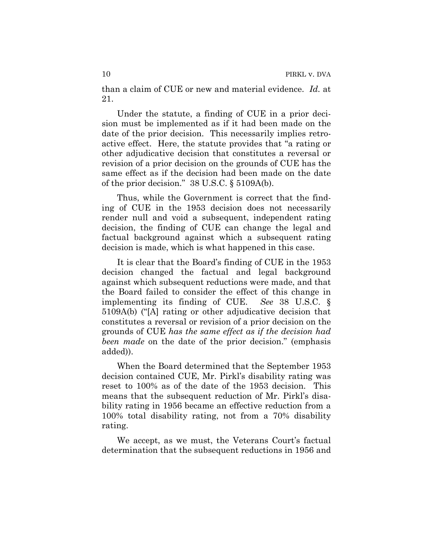than a claim of CUE or new and material evidence. *Id.* at 21.

Under the statute, a finding of CUE in a prior decision must be implemented as if it had been made on the date of the prior decision. This necessarily implies retroactive effect. Here, the statute provides that "a rating or other adjudicative decision that constitutes a reversal or revision of a prior decision on the grounds of CUE has the same effect as if the decision had been made on the date of the prior decision." 38 U.S.C. § 5109A(b).

Thus, while the Government is correct that the finding of CUE in the 1953 decision does not necessarily render null and void a subsequent, independent rating decision, the finding of CUE can change the legal and factual background against which a subsequent rating decision is made, which is what happened in this case.

It is clear that the Board's finding of CUE in the 1953 decision changed the factual and legal background against which subsequent reductions were made, and that the Board failed to consider the effect of this change in implementing its finding of CUE. *See* 38 U.S.C. § 5109A(b) ("[A] rating or other adjudicative decision that constitutes a reversal or revision of a prior decision on the grounds of CUE *has the same effect as if the decision had been made* on the date of the prior decision." (emphasis added)).

When the Board determined that the September 1953 decision contained CUE, Mr. Pirkl's disability rating was reset to 100% as of the date of the 1953 decision. This means that the subsequent reduction of Mr. Pirkl's disability rating in 1956 became an effective reduction from a 100% total disability rating, not from a 70% disability rating.

We accept, as we must, the Veterans Court's factual determination that the subsequent reductions in 1956 and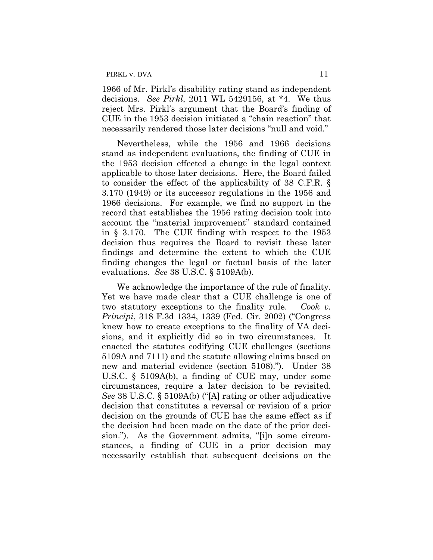1966 of Mr. Pirkl's disability rating stand as independent decisions. *See Pirkl*, 2011 WL 5429156, at \*4.We thus reject Mrs. Pirkl's argument that the Board's finding of CUE in the 1953 decision initiated a "chain reaction" that necessarily rendered those later decisions "null and void."

Nevertheless, while the 1956 and 1966 decisions stand as independent evaluations, the finding of CUE in the 1953 decision effected a change in the legal context applicable to those later decisions. Here, the Board failed to consider the effect of the applicability of 38 C.F.R. § 3.170 (1949) or its successor regulations in the 1956 and 1966 decisions. For example, we find no support in the record that establishes the 1956 rating decision took into account the "material improvement" standard contained in § 3.170. The CUE finding with respect to the 1953 decision thus requires the Board to revisit these later findings and determine the extent to which the CUE finding changes the legal or factual basis of the later evaluations. *See* 38 U.S.C. § 5109A(b).

We acknowledge the importance of the rule of finality. Yet we have made clear that a CUE challenge is one of two statutory exceptions to the finality rule. *Cook v. Principi*, 318 F.3d 1334, 1339 (Fed. Cir. 2002) ("Congress knew how to create exceptions to the finality of VA decisions, and it explicitly did so in two circumstances. It enacted the statutes codifying CUE challenges (sections 5109A and 7111) and the statute allowing claims based on new and material evidence (section 5108)."). Under 38 U.S.C. § 5109A(b), a finding of CUE may, under some circumstances, require a later decision to be revisited. *See* 38 U.S.C. § 5109A(b) ("[A] rating or other adjudicative decision that constitutes a reversal or revision of a prior decision on the grounds of CUE has the same effect as if the decision had been made on the date of the prior decision."). As the Government admits, "[i]n some circumstances, a finding of CUE in a prior decision may necessarily establish that subsequent decisions on the